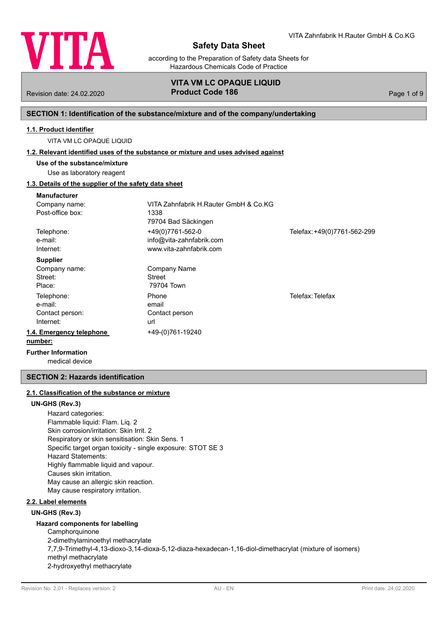

according to the Preparation of Safety data Sheets for Hazardous Chemicals Code of Practice

## **VITA VM LC OPAQUE LIQUID** Revision date: 24.02.2020 **Product Code 186** Page 1 of 9

## **SECTION 1: Identification of the substance/mixture and of the company/undertaking**

## **1.1. Product identifier**

VITA VM LC OPAQUE LIQUID

#### **1.2. Relevant identified uses of the substance or mixture and uses advised against**

**Use of the substance/mixture**

## Use as laboratory reagent

## **1.3. Details of the supplier of the safety data sheet**

| <b>Manufacturer</b>          |                                       |                             |
|------------------------------|---------------------------------------|-----------------------------|
| Company name:                | VITA Zahnfabrik H.Rauter GmbH & Co.KG |                             |
| Post-office box:             | 1338                                  |                             |
|                              | 79704 Bad Säckingen                   |                             |
| Telephone:                   | +49(0)7761-562-0                      | Telefax: +49(0)7761-562-299 |
| e-mail:                      | info@vita-zahnfabrik.com              |                             |
| Internet:                    | www.vita-zahnfabrik.com               |                             |
| <b>Supplier</b>              |                                       |                             |
| Company name:                | Company Name                          |                             |
| Street:                      | Street                                |                             |
| Place:                       | 79704 Town                            |                             |
| Telephone:                   | Phone                                 | Telefax: Telefax            |
| e-mail:                      | email                                 |                             |
| Contact person:              | Contact person                        |                             |
| Internet:                    | url                                   |                             |
| 1.4. Emergency telephone     | +49-(0)761-19240                      |                             |
| number:                      |                                       |                             |
| Errothern before and all are |                                       |                             |

medical device **Further Information**

## **SECTION 2: Hazards identification**

## **2.1. Classification of the substance or mixture**

#### **UN-GHS (Rev.3)**

Hazard categories: Flammable liquid: Flam. Liq. 2 Skin corrosion/irritation: Skin Irrit. 2 Respiratory or skin sensitisation: Skin Sens. 1 Specific target organ toxicity - single exposure: STOT SE 3 Hazard Statements: Highly flammable liquid and vapour. Causes skin irritation. May cause an allergic skin reaction. May cause respiratory irritation.

## **2.2. Label elements**

#### **UN-GHS (Rev.3)**

## **Hazard components for labelling**

**Camphorquinone** 2-dimethylaminoethyl methacrylate 7,7,9-Trimethyl-4,13-dioxo-3,14-dioxa-5,12-diaza-hexadecan-1,16-diol-dimethacrylat (mixture of isomers) methyl methacrylate 2-hydroxyethyl methacrylate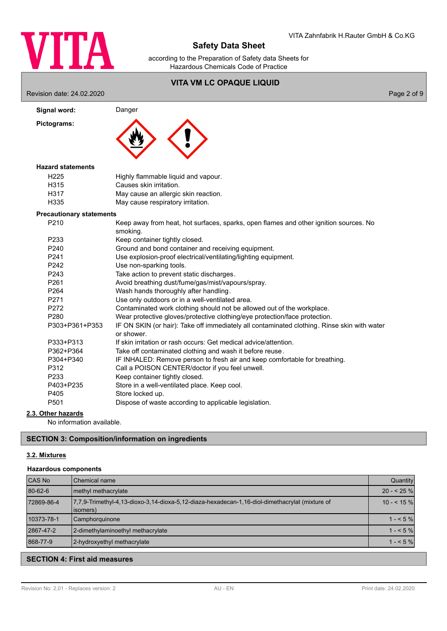

according to the Preparation of Safety data Sheets for Hazardous Chemicals Code of Practice

# **VITA VM LC OPAQUE LIQUID** Revision date: 24.02.2020 Page 2 of 9 Signal word: Danger **Pictograms:** H225 Highly flammable liquid and vapour. H315 Causes skin irritation. H317 May cause an allergic skin reaction. H335 May cause respiratory irritation. **Hazard statements** P210 Keep away from heat, hot surfaces, sparks, open flames and other ignition sources. No smoking. P233 Keep container tightly closed. P240 Ground and bond container and receiving equipment. P241 Use explosion-proof electrical/ventilating/lighting equipment. P242 Use non-sparking tools. P243 Take action to prevent static discharges. P261 Avoid breathing dust/fume/gas/mist/vapours/spray. P264 Wash hands thoroughly after handling. P271 Use only outdoors or in a well-ventilated area. P272 Contaminated work clothing should not be allowed out of the workplace. P280 Wear protective gloves/protective clothing/eye protection/face protection. P303+P361+P353 IF ON SKIN (or hair): Take off immediately all contaminated clothing. Rinse skin with water or shower. P333+P313 If skin irritation or rash occurs: Get medical advice/attention. P362+P364 Take off contaminated clothing and wash it before reuse. P304+P340 IF INHALED: Remove person to fresh air and keep comfortable for breathing. P312 Call a POISON CENTER/doctor if you feel unwell. P233 Keep container tightly closed. P403+P235 Store in a well-ventilated place. Keep cool. P405 Store locked up. P501 Dispose of waste according to applicable legislation. **Precautionary statements**

## **2.3. Other hazards**

No information available.

### **SECTION 3: Composition/information on ingredients**

#### **3.2. Mixtures**

#### **Hazardous components**

| <b>CAS No</b> | <b>I</b> Chemical name                                                                                     | Quantity   |
|---------------|------------------------------------------------------------------------------------------------------------|------------|
| 80-62-6       | methyl methacrylate                                                                                        | $20 - 25%$ |
| 72869-86-4    | 7.7.9-Trimethyl-4.13-dioxo-3.14-dioxa-5.12-diaza-hexadecan-1.16-diol-dimethacrylat (mixture of<br>(isomers | $10 - 55%$ |
| 10373-78-1    | Camphorquinone                                                                                             | $1 - 5\%$  |
| 2867-47-2     | 2-dimethylaminoethyl methacrylate                                                                          | $1 - 5\%$  |
| 868-77-9      | 2-hydroxyethyl methacrylate                                                                                | $1 - 5%$   |

## **SECTION 4: First aid measures**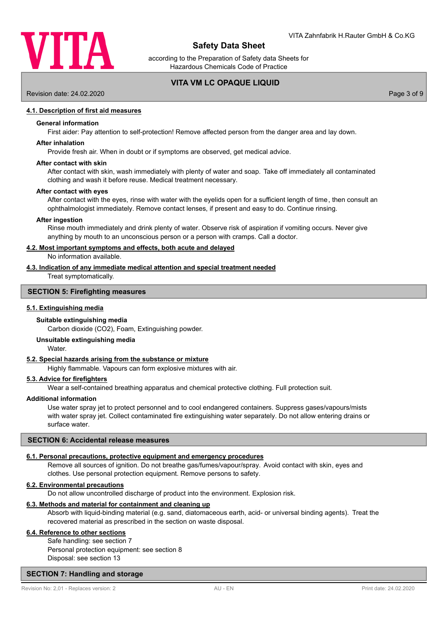

according to the Preparation of Safety data Sheets for Hazardous Chemicals Code of Practice

## **VITA VM LC OPAQUE LIQUID**

## Revision date: 24.02.2020 Page 3 of 9

### **4.1. Description of first aid measures**

#### **General information**

First aider: Pay attention to self-protection! Remove affected person from the danger area and lay down.

#### **After inhalation**

Provide fresh air. When in doubt or if symptoms are observed, get medical advice.

#### **After contact with skin**

After contact with skin, wash immediately with plenty of water and soap. Take off immediately all contaminated clothing and wash it before reuse. Medical treatment necessary.

#### **After contact with eyes**

After contact with the eyes, rinse with water with the eyelids open for a sufficient length of time, then consult an ophthalmologist immediately. Remove contact lenses, if present and easy to do. Continue rinsing.

#### **After ingestion**

Rinse mouth immediately and drink plenty of water. Observe risk of aspiration if vomiting occurs. Never give anything by mouth to an unconscious person or a person with cramps. Call a doctor.

#### **4.2. Most important symptoms and effects, both acute and delayed**

No information available.

#### **4.3. Indication of any immediate medical attention and special treatment needed**

Treat symptomatically.

#### **SECTION 5: Firefighting measures**

#### **5.1. Extinguishing media**

#### **Suitable extinguishing media**

Carbon dioxide (CO2), Foam, Extinguishing powder.

## **Unsuitable extinguishing media**

Water.

### **5.2. Special hazards arising from the substance or mixture**

Highly flammable. Vapours can form explosive mixtures with air.

#### **5.3. Advice for firefighters**

Wear a self-contained breathing apparatus and chemical protective clothing. Full protection suit.

#### **Additional information**

Use water spray jet to protect personnel and to cool endangered containers. Suppress gases/vapours/mists with water spray jet. Collect contaminated fire extinguishing water separately. Do not allow entering drains or surface water.

#### **SECTION 6: Accidental release measures**

#### **6.1. Personal precautions, protective equipment and emergency procedures**

Remove all sources of ignition. Do not breathe gas/fumes/vapour/spray. Avoid contact with skin, eyes and clothes. Use personal protection equipment. Remove persons to safety.

#### **6.2. Environmental precautions**

Do not allow uncontrolled discharge of product into the environment. Explosion risk.

#### **6.3. Methods and material for containment and cleaning up**

Absorb with liquid-binding material (e.g. sand, diatomaceous earth, acid- or universal binding agents). Treat the recovered material as prescribed in the section on waste disposal.

## **6.4. Reference to other sections**

Safe handling: see section 7 Personal protection equipment: see section 8 Disposal: see section 13

### **SECTION 7: Handling and storage**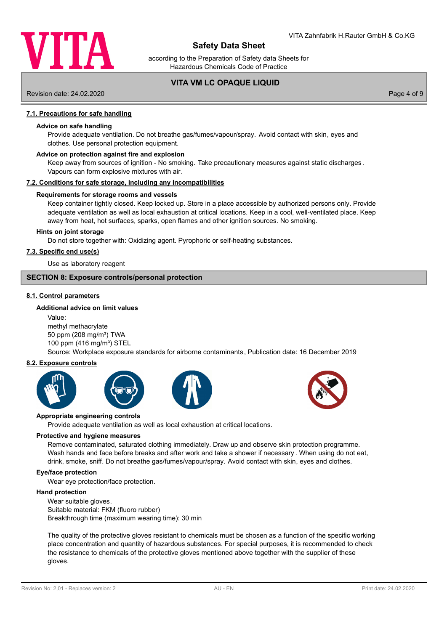

according to the Preparation of Safety data Sheets for Hazardous Chemicals Code of Practice

## **VITA VM LC OPAQUE LIQUID**

Revision date: 24.02.2020 Page 4 of 9

#### **7.1. Precautions for safe handling**

### **Advice on safe handling**

Provide adequate ventilation. Do not breathe gas/fumes/vapour/spray. Avoid contact with skin, eyes and clothes. Use personal protection equipment.

#### **Advice on protection against fire and explosion**

Keep away from sources of ignition - No smoking. Take precautionary measures against static discharges. Vapours can form explosive mixtures with air.

#### **7.2. Conditions for safe storage, including any incompatibilities**

#### **Requirements for storage rooms and vessels**

Keep container tightly closed. Keep locked up. Store in a place accessible by authorized persons only. Provide adequate ventilation as well as local exhaustion at critical locations. Keep in a cool, well-ventilated place. Keep away from heat, hot surfaces, sparks, open flames and other ignition sources. No smoking.

#### **Hints on joint storage**

Do not store together with: Oxidizing agent. Pyrophoric or self-heating substances.

#### **7.3. Specific end use(s)**

Use as laboratory reagent

#### **SECTION 8: Exposure controls/personal protection**

#### **8.1. Control parameters**

### **Additional advice on limit values**

Value: methyl methacrylate 50 ppm (208 mg/m<sup>3</sup>) TWA 100 ppm (416 mg/m<sup>3</sup>) STEL Source: Workplace exposure standards for airborne contaminants, Publication date: 16 December 2019

#### **8.2. Exposure controls**









#### **Appropriate engineering controls**

Provide adequate ventilation as well as local exhaustion at critical locations.

#### **Protective and hygiene measures**

Remove contaminated, saturated clothing immediately. Draw up and observe skin protection programme. Wash hands and face before breaks and after work and take a shower if necessary . When using do not eat, drink, smoke, sniff. Do not breathe gas/fumes/vapour/spray. Avoid contact with skin, eyes and clothes.

#### **Eye/face protection**

Wear eye protection/face protection.

#### **Hand protection**

Wear suitable gloves. Suitable material: FKM (fluoro rubber) Breakthrough time (maximum wearing time): 30 min

The quality of the protective gloves resistant to chemicals must be chosen as a function of the specific working place concentration and quantity of hazardous substances. For special purposes, it is recommended to check the resistance to chemicals of the protective gloves mentioned above together with the supplier of these gloves.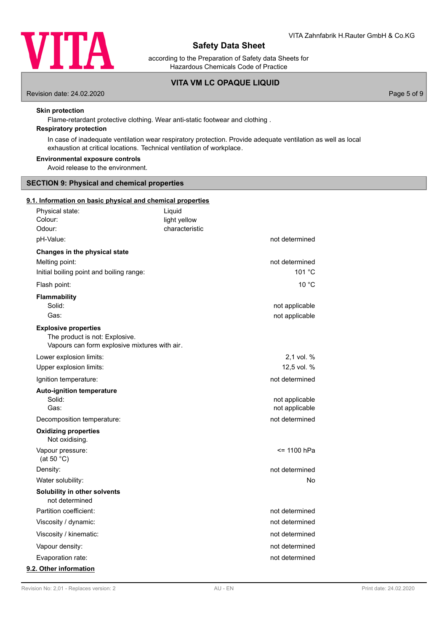

according to the Preparation of Safety data Sheets for Hazardous Chemicals Code of Practice

## **VITA VM LC OPAQUE LIQUID**

Revision date: 24.02.2020 Page 5 of 9

#### **Skin protection**

Flame-retardant protective clothing. Wear anti-static footwear and clothing .

## **Respiratory protection**

In case of inadequate ventilation wear respiratory protection. Provide adequate ventilation as well as local exhaustion at critical locations. Technical ventilation of workplace.

#### **Environmental exposure controls**

Avoid release to the environment.

## **SECTION 9: Physical and chemical properties**

### **9.1. Information on basic physical and chemical properties**

| Physical state:<br>Colour:<br>Odour:                                                                           | Liquid<br>light yellow<br>characteristic |                                  |
|----------------------------------------------------------------------------------------------------------------|------------------------------------------|----------------------------------|
| pH-Value:                                                                                                      |                                          | not determined                   |
| Changes in the physical state<br>Melting point:<br>Initial boiling point and boiling range:                    |                                          | not determined<br>101 °C         |
| Flash point:                                                                                                   |                                          | 10 °C                            |
| <b>Flammability</b><br>Solid:<br>Gas:                                                                          |                                          | not applicable<br>not applicable |
| <b>Explosive properties</b><br>The product is not: Explosive.<br>Vapours can form explosive mixtures with air. |                                          |                                  |
| Lower explosion limits:                                                                                        |                                          | 2,1 vol. %                       |
| Upper explosion limits:                                                                                        |                                          | 12,5 vol. %                      |
| Ignition temperature:                                                                                          |                                          | not determined                   |
| <b>Auto-ignition temperature</b><br>Solid:<br>Gas:                                                             |                                          | not applicable<br>not applicable |
| Decomposition temperature:                                                                                     |                                          | not determined                   |
| <b>Oxidizing properties</b><br>Not oxidising.                                                                  |                                          |                                  |
| Vapour pressure:<br>(at 50 $°C$ )                                                                              |                                          | <= 1100 hPa                      |
| Density:                                                                                                       |                                          | not determined                   |
| Water solubility:                                                                                              |                                          | No                               |
| Solubility in other solvents<br>not determined                                                                 |                                          |                                  |
| Partition coefficient:                                                                                         |                                          | not determined                   |
| Viscosity / dynamic:                                                                                           |                                          | not determined                   |
| Viscosity / kinematic:                                                                                         |                                          | not determined                   |
| Vapour density:                                                                                                |                                          | not determined                   |
| Evaporation rate:                                                                                              |                                          | not determined                   |
| 9.2. Other information                                                                                         |                                          |                                  |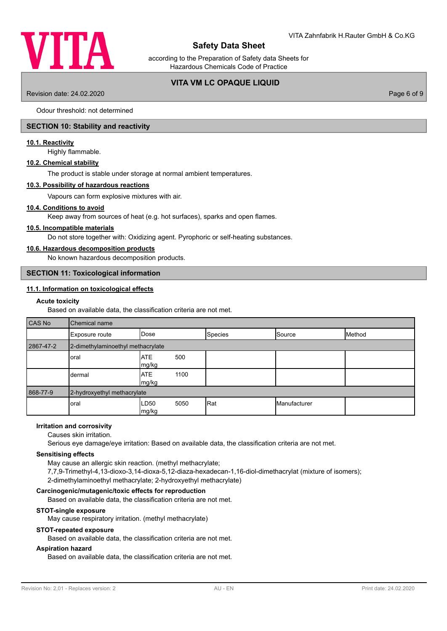

according to the Preparation of Safety data Sheets for Hazardous Chemicals Code of Practice

## **VITA VM LC OPAQUE LIQUID**

Revision date: 24.02.2020 Page 6 of 9

Odour threshold: not determined

## **SECTION 10: Stability and reactivity**

## **10.1. Reactivity**

Highly flammable.

## **10.2. Chemical stability**

The product is stable under storage at normal ambient temperatures.

#### **10.3. Possibility of hazardous reactions**

Vapours can form explosive mixtures with air.

## **10.4. Conditions to avoid**

Keep away from sources of heat (e.g. hot surfaces), sparks and open flames.

#### **10.5. Incompatible materials**

Do not store together with: Oxidizing agent. Pyrophoric or self-heating substances.

#### **10.6. Hazardous decomposition products**

No known hazardous decomposition products.

#### **SECTION 11: Toxicological information**

## **11.1. Information on toxicological effects**

## **Acute toxicity**

Based on available data, the classification criteria are not met.

| <b>CAS No</b> | Chemical name                     |                     |      |                |              |        |  |  |
|---------------|-----------------------------------|---------------------|------|----------------|--------------|--------|--|--|
|               | Exposure route                    | lDose               |      | <b>Species</b> | Source       | Method |  |  |
| 2867-47-2     | 2-dimethylaminoethyl methacrylate |                     |      |                |              |        |  |  |
|               | oral                              | <b>ATE</b><br>mg/kg | 500  |                |              |        |  |  |
|               | dermal                            | <b>ATE</b><br>mg/kg | 1100 |                |              |        |  |  |
| 868-77-9      | 2-hydroxyethyl methacrylate       |                     |      |                |              |        |  |  |
|               | oral                              | LD50<br>Img/kg      | 5050 | Rat            | Manufacturer |        |  |  |

## **Irritation and corrosivity**

Causes skin irritation.

Serious eye damage/eye irritation: Based on available data, the classification criteria are not met.

#### **Sensitising effects**

May cause an allergic skin reaction. (methyl methacrylate; 7,7,9-Trimethyl-4,13-dioxo-3,14-dioxa-5,12-diaza-hexadecan-1,16-diol-dimethacrylat (mixture of isomers); 2-dimethylaminoethyl methacrylate; 2-hydroxyethyl methacrylate)

#### **Carcinogenic/mutagenic/toxic effects for reproduction**

Based on available data, the classification criteria are not met.

### **STOT-single exposure**

May cause respiratory irritation. (methyl methacrylate)

#### **STOT-repeated exposure**

Based on available data, the classification criteria are not met.

### **Aspiration hazard**

Based on available data, the classification criteria are not met.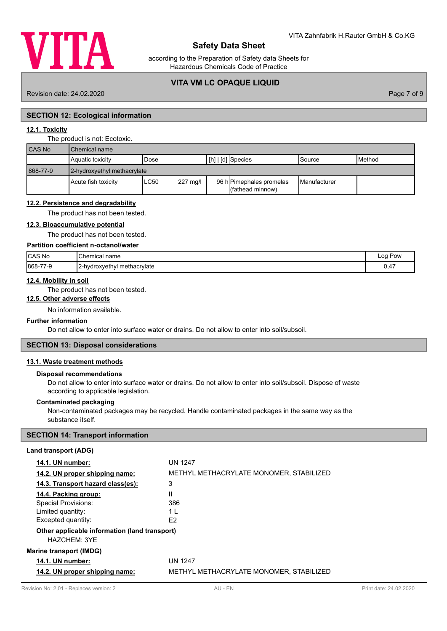

according to the Preparation of Safety data Sheets for Hazardous Chemicals Code of Practice

## **VITA VM LC OPAQUE LIQUID**

Revision date: 24.02.2020 Page 7 of 9

## **SECTION 12: Ecological information**

## **12.1. Toxicity**

| The product is not: Ecotoxic. |
|-------------------------------|
|-------------------------------|

| <b>CAS No</b> | Chemical name               |      |          |  |                                              |                       |                 |  |
|---------------|-----------------------------|------|----------|--|----------------------------------------------|-----------------------|-----------------|--|
|               | <b>Aquatic toxicity</b>     | Dose |          |  | [[h]   [d] Species                           | lSource               | <b>I</b> Method |  |
| 868-77-9      | 2-hydroxyethyl methacrylate |      |          |  |                                              |                       |                 |  |
|               | <b>Acute fish toxicity</b>  | LC50 | 227 mg/l |  | 96 h Pimephales promelas<br>(fathead minnow) | <b>I</b> Manufacturer |                 |  |

#### **12.2. Persistence and degradability**

The product has not been tested.

#### **12.3. Bioaccumulative potential**

The product has not been tested.

#### **Partition coefficient n-octanol/water**

| CAS No  | 'Chemical<br>name            | ∟oa<br>Pow<br>. |
|---------|------------------------------|-----------------|
| 868-77- | I2-hydroxyethyl methacrylate | $\sim$ $\sim$   |
| 7-9     |                              | U,4.            |

#### **12.4. Mobility in soil**

The product has not been tested.

## **12.5. Other adverse effects**

No information available.

## **Further information**

Do not allow to enter into surface water or drains. Do not allow to enter into soil/subsoil.

#### **SECTION 13: Disposal considerations**

## **13.1. Waste treatment methods**

#### **Disposal recommendations**

Do not allow to enter into surface water or drains. Do not allow to enter into soil/subsoil. Dispose of waste according to applicable legislation.

#### **Contaminated packaging**

Non-contaminated packages may be recycled. Handle contaminated packages in the same way as the substance itself.

### **SECTION 14: Transport information**

### **Land transport (ADG)**

| <b>14.1. UN number:</b>                                       | UN 1247                                 |
|---------------------------------------------------------------|-----------------------------------------|
| 14.2. UN proper shipping name:                                | METHYL METHACRYLATE MONOMER. STABILIZED |
| 14.3. Transport hazard class(es):                             | 3                                       |
| 14.4. Packing group:                                          | Ш                                       |
| Special Provisions:                                           | 386                                     |
| Limited quantity:                                             | 1 I                                     |
| Excepted quantity:                                            | F2                                      |
| Other applicable information (land transport)<br>HAZCHEM: 3YE |                                         |
| <b>Marine transport (IMDG)</b>                                |                                         |
| <b>14.1. UN number:</b>                                       | UN 1247                                 |
| 14.2. UN proper shipping name:                                | METHYL METHACRYLATE MONOMER, STABILIZED |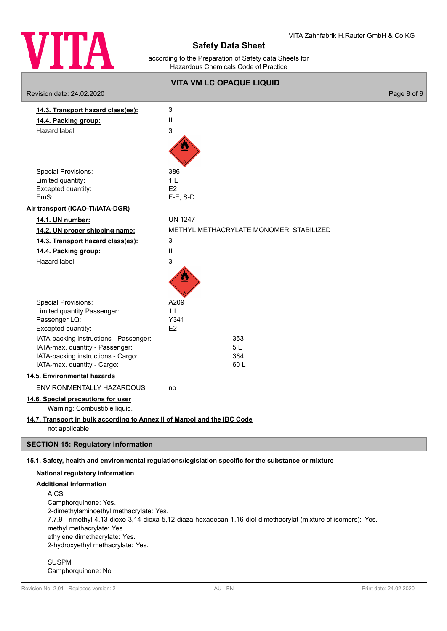

according to the Preparation of Safety data Sheets for Hazardous Chemicals Code of Practice

|                                                                          | <b>VITA VM LC OPAQUE LIQUID</b>                                                                      |             |
|--------------------------------------------------------------------------|------------------------------------------------------------------------------------------------------|-------------|
| Revision date: 24.02.2020                                                |                                                                                                      | Page 8 of 9 |
| 14.3. Transport hazard class(es):                                        | 3                                                                                                    |             |
| 14.4. Packing group:                                                     | Ш                                                                                                    |             |
| Hazard label:                                                            | 3                                                                                                    |             |
|                                                                          |                                                                                                      |             |
| <b>Special Provisions:</b>                                               | 386                                                                                                  |             |
| Limited quantity:                                                        | 1 <sub>L</sub>                                                                                       |             |
| Excepted quantity:                                                       | E2                                                                                                   |             |
| EmS:                                                                     | $F-E$ , S-D                                                                                          |             |
| Air transport (ICAO-TI/IATA-DGR)                                         |                                                                                                      |             |
| 14.1. UN number:                                                         | <b>UN 1247</b>                                                                                       |             |
| 14.2. UN proper shipping name:                                           | METHYL METHACRYLATE MONOMER, STABILIZED                                                              |             |
| 14.3. Transport hazard class(es):                                        | 3                                                                                                    |             |
| 14.4. Packing group:                                                     | $\mathbf{H}$                                                                                         |             |
| Hazard label:                                                            | 3                                                                                                    |             |
| <b>Special Provisions:</b>                                               | A209                                                                                                 |             |
| Limited quantity Passenger:                                              | 1 <sub>L</sub>                                                                                       |             |
| Passenger LQ:                                                            | Y341                                                                                                 |             |
| Excepted quantity:                                                       | E2                                                                                                   |             |
| IATA-packing instructions - Passenger:                                   | 353                                                                                                  |             |
| IATA-max. quantity - Passenger:                                          | 5L                                                                                                   |             |
| IATA-packing instructions - Cargo:                                       | 364                                                                                                  |             |
| IATA-max. quantity - Cargo:                                              | 60L                                                                                                  |             |
| 14.5. Environmental hazards                                              |                                                                                                      |             |
| ENVIRONMENTALLY HAZARDOUS:                                               | no                                                                                                   |             |
| 14.6. Special precautions for user<br>Warning: Combustible liquid.       |                                                                                                      |             |
| 14.7. Transport in bulk according to Annex II of Marpol and the IBC Code |                                                                                                      |             |
| not applicable                                                           |                                                                                                      |             |
| <b>SECTION 15: Regulatory information</b>                                |                                                                                                      |             |
|                                                                          | 15.1. Safety, health and environmental regulations/legislation specific for the substance or mixture |             |
| National regulatory information                                          |                                                                                                      |             |

## **Additional information** AICS

ſ

Camphorquinone: Yes. 2-dimethylaminoethyl methacrylate: Yes. 7,7,9-Trimethyl-4,13-dioxo-3,14-dioxa-5,12-diaza-hexadecan-1,16-diol-dimethacrylat (mixture of isomers): Yes. methyl methacrylate: Yes. ethylene dimethacrylate: Yes. 2-hydroxyethyl methacrylate: Yes.

SUSPM Camphorquinone: No